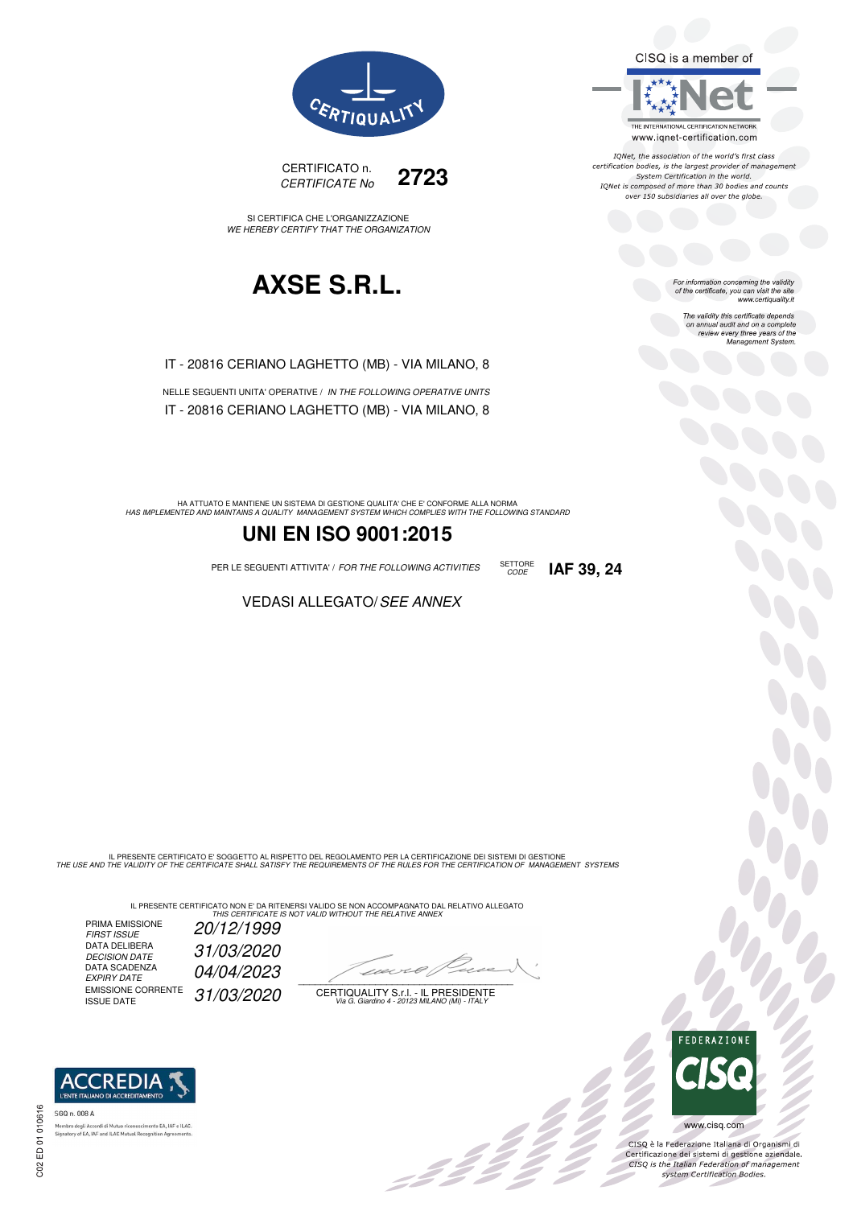CISQ is a member of



IQNet, the association of the world's first class<br>certification bodies, is the largest provider of management System Certification in the world.<br>IQNet is composed of more than 30 bodies and counts over 150 subsidiaries all over the globe.

CODE **IAF 39, 24**

For information concerning the validity<br>of the certificate, you can visit the site www.certiquality.it

> The validity this certificate depends on annual audit and on a complete<br>on annual audit and on a complete<br>review every three years of the<br>Management System.



CERTIFICATO n. CERTIFICATE No **2723** 

SI CERTIFICA CHE L'ORGANIZZAZIONE WE HEREBY CERTIFY THAT THE ORGANIZATION

### **AXSE S.R.L.**

IT - 20816 CERIANO LAGHETTO (MB) - VIA MILANO, 8

NELLE SEGUENTI UNITA' OPERATIVE / IN THE FOLLOWING OPERATIVE UNITS IT - 20816 CERIANO LAGHETTO (MB) - VIA MILANO, 8

HA ATTUATO E MANTIENE UN SISTEMA DI GESTIONE QUALITA' CHE E' CONFORME ALLA NORMA<br>HAS IMPLEMENTED AND MAINTAINS A QUALITY MANAGEMENT SYSTEM WHICH COMPLIES WITH THE FOLLOWING STANDARD

### **UNI EN ISO 9001:2015**

PER LE SEGUENTI ATTIVITA' / FOR THE FOLLOWING ACTIVITIES SETTORE

VEDASI ALLEGATO/SEE ANNEX

IL PRESENTE CERTIFICATO E' SOGGETTO AL RISPETTO DEL REGOLAMENTO PER LA CERTIFICAZIONE DEI SISTEMI DI GESTIONE<br>THE USE AND THE VALIDITY OF THE CERTIFICATE SHALL SATISFY THE REQUIREMENTS OF THE RULES FOR THE CERTIFICATION OF

IL PRESENTE CERTIFICATO NON E' DA RITENERSI VALIDO SE NON ACCOMPAGNATO DAL RELATIVO ALLEGATO<br>*THIS CERTIFICATE IS NOT VALID WITHOUT THE RELATIVE ANNEX* 

PRIMA EMISSIONE FIRST ISSUE 20/12/1999 DATA DELIBERA DECISION DATE<br>DATA SCADENZA<br>EXPIRY DATE EMISSIONE CORRENTE<br>ISSUE DATE

DECISION DATE 31/03/2020 04/04/2023 31/03/2020

 $\overline{\phantom{a}}$ 

:422

CERTIQUALITY S.r.l. - IL PRESIDENTE Via G. Giardino 4 - 20123 MILANO (MI) - ITALY



 $\frac{\partial}{\partial \rho}$ 

www.cisq.com

CISQ è la Federazione Italiana di Organismi di Crista e la Federazione Transma di Organismi di<br>Certificazione dei sistemi di gestione aziendale.<br>CISQ is the Italian Federation of management system Certification Bodies.



EA, IAF e ILAC horo degli Accordi di Mutuo riconoscimenti<br>atory of EA, IAF and ILAC Mutual Recognit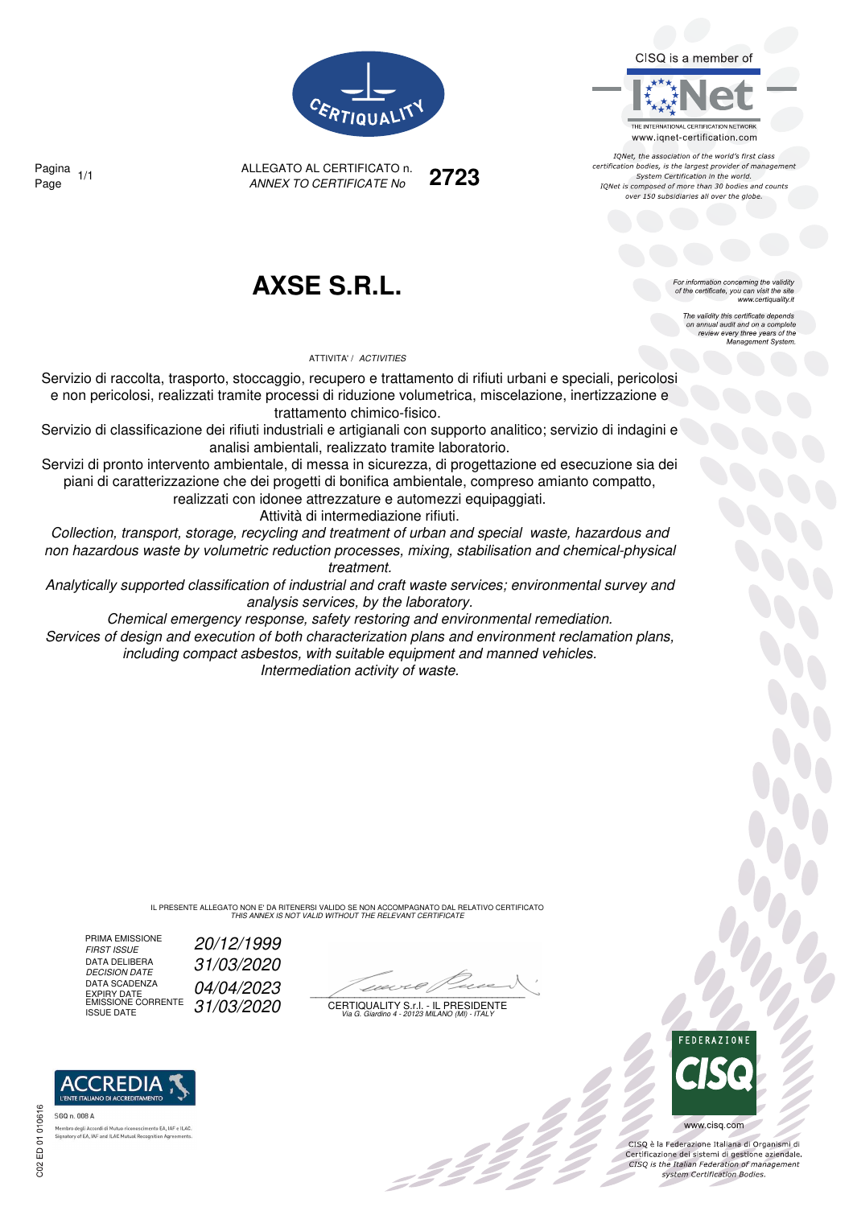CISQ is a member of



IQNet, the association of the world's first class certification bodies, is the largest provider of management System Certification in the world. IONet is composed of more than 30 bodies and counts over 150 subsidiaries all over the globe



ALLEGATO AL CERTIFICATO n. ANNEX TO CERTIFICATE No Page 1/1 **2723**

Pagina

### **AXSE S.R.L.**

ATTIVITA' / ACTIVITIES

Servizio di raccolta, trasporto, stoccaggio, recupero e trattamento di rifiuti urbani e speciali, pericolosi e non pericolosi, realizzati tramite processi di riduzione volumetrica, miscelazione, inertizzazione e trattamento chimico-fisico.

Servizio di classificazione dei rifiuti industriali e artigianali con supporto analitico; servizio di indagini e analisi ambientali, realizzato tramite laboratorio.

Servizi di pronto intervento ambientale, di messa in sicurezza, di progettazione ed esecuzione sia dei piani di caratterizzazione che dei progetti di bonifica ambientale, compreso amianto compatto,

realizzati con idonee attrezzature e automezzi equipaggiati.

Attività di intermediazione rifiuti.

Collection, transport, storage, recycling and treatment of urban and special waste, hazardous and non hazardous waste by volumetric reduction processes, mixing, stabilisation and chemical-physical treatment.

Analytically supported classification of industrial and craft waste services; environmental survey and analysis services, by the laboratory.

Chemical emergency response, safety restoring and environmental remediation. Services of design and execution of both characterization plans and environment reclamation plans,

including compact asbestos, with suitable equipment and manned vehicles. Intermediation activity of waste.

> IL PRESENTE ALLEGATO NON E' DA RITENERSI VALIDO SE NON ACCOMPAGNATO DAL RELATIVO CERTIFICATO THIS ANNEX IS NOT VALID WITHOUT THE RELEVANT CERTIFICATE

PRIMA EMISSIONE<br>FIRST ISSUE DATA DELIBERA<br>DECISION DATE DATA SCADENZA DATA SCADENZA  $04/04/2023$ <br>
EXPIRY DATE<br>
EMISSIONE CORRENTE  $31/03/2020$  CERTIQUAL

20/12/1999 DECISION DATE 31/03/2020

 $\mathscr{L}$ 

EMISSIONE CORRENTE  $\int 31/03/2020$  certiquality S.f.l. - Il Presidente<br>ISSUE DATE variatino 4 - 20123 MILANO (MI) - ITALY



 $\frac{1}{2}$ 

www.cisq.com

CISO è la Federazione Italiana di Organismi di Certificazione dei sistemi di gestione aziendale.<br>Certificazione dei sistemi di gestione aziendale.<br>CISQ is the Italian Federation of management system Certification Bodies.



ento FA JAF e ILAC Signatory of EA, IAF and ILAC Mutual Recognition Age

or information concerning the validity of the certificate, you can visit the site www.certiquality.it

> The validity this certificate depends on annual audit and on a complete<br>on annual audit and on a complete<br>review every three years of the<br>Management System.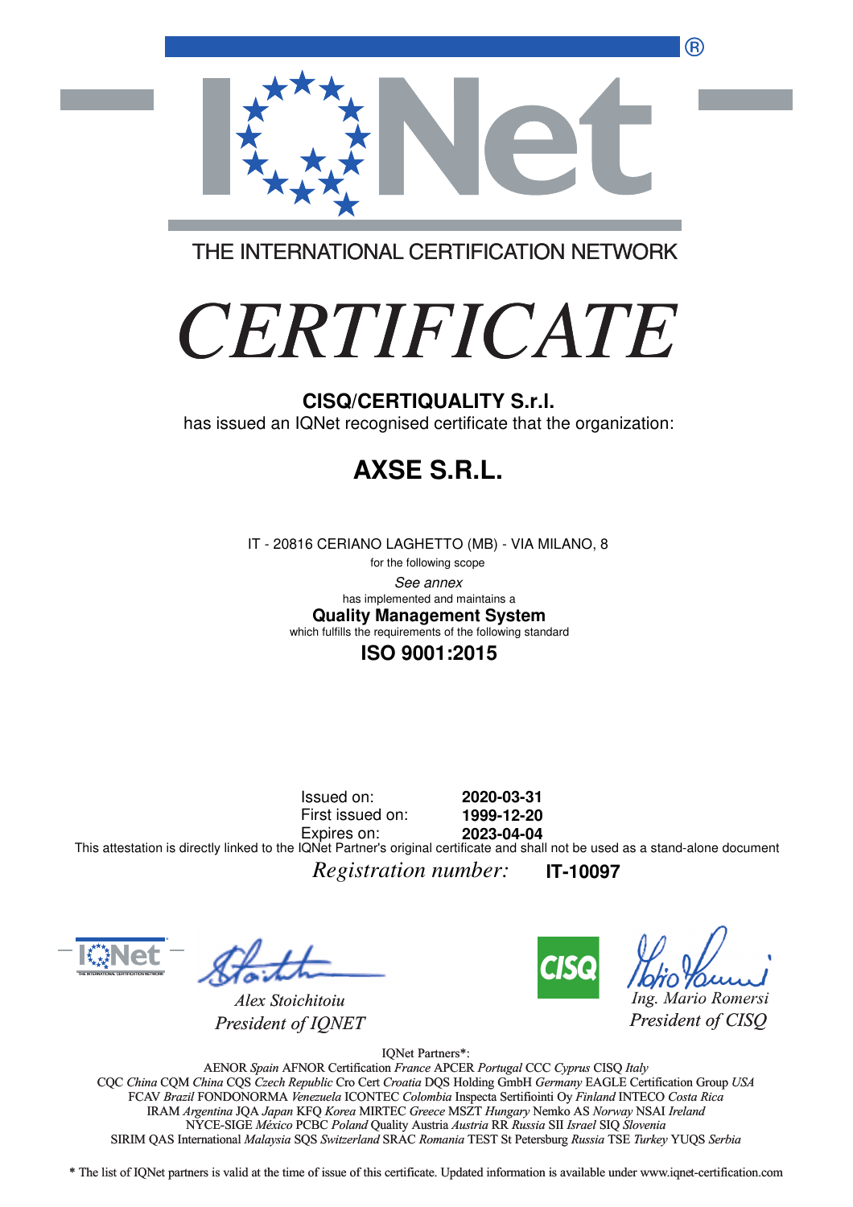®



THE INTERNATIONAL CERTIFICATION NETWORK

# *CERTIFICATE*

has issued an IQNet recognised certificate that the organization:

# **AXSE S.R.L.**

IT - 20816 CERIANO LAGHETTO (MB) - VIA MILANO, 8

for the following scope See annex **Quality Management System** has implemented and maintains a which fulfills the requirements of the following standard

### **ISO 9001:2015**

Issued on: First issued on: Expires on: **2020-03-31 1999-12-20 2023-04-04** This attestation is directly linked to the IQNet Partner's original certificate and shall not be used as a stand-alone document

*Registration number:* **IT-10097**



*Alex Stoichitoiu President of IQNET*



*Ing. Mario Romersi*

*President of CISQ* 

IQNet Partners\*:

AENOR *Spain* AFNOR Certification *France* APCER *Portugal* CCC *Cyprus* CISQ *Italy* CQC *China* CQM *China* CQS *Czech Republic* Cro Cert *Croatia* DQS Holding GmbH *Germany* EAGLE Certification Group *USA* Cro Cert FCAV *Brazil* FONDONORMA *Venezuela* ICONTEC *Colombia* Inspecta Sertifiointi Oy *Finland* INTECO *Costa Rica* IRAM *Argentina* JQA *Japan* KFQ *Korea* MIRTEC *Greece* MSZT *Hungary* Nemko AS *Norway* NSAI *Ireland* NYCE-SIGE *México* PCBC *Poland* Quality Austria *Austria* RR *Russia* SII *Israel* SIQ *Slovenia* RR SIRIM QAS International *Malaysia* SQS *Switzerland* SRAC *Romania* TEST St Petersburg *Russia* TSE *Turkey* YUQS *Serbia* CISQ/CERTIQUALITY S.r.I.<br>
has issued an IQNet recognised certificate that the organizz<br>
FIT - 20816 CERIANO LAGHETTO (MB) - VIA MILANO, 8<br>
the history score<br>
the blowing score<br>
the blowing score of the blowing score<br>
when

\* The list of IQNet partners is valid at the time of issue of this certificate. Updated information is available under www.iqnet-certification.com